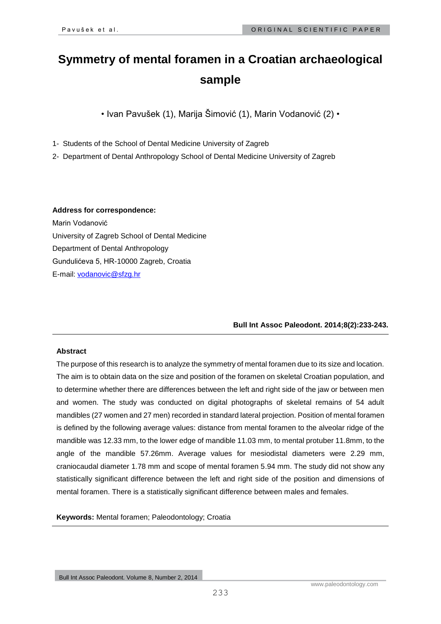# **Symmetry of mental foramen in a Croatian archaeological sample**

• Ivan Pavušek (1), Marija Šimović (1), Marin Vodanović (2) •

1- Students of the School of Dental Medicine University of Zagreb

2- Department of Dental Anthropology School of Dental Medicine University of Zagreb

## **Address for correspondence:**

Marin Vodanović University of Zagreb School of Dental Medicine Department of Dental Anthropology Gundulićeva 5, HR-10000 Zagreb, Croatia E-mail: [vodanovic@sfzg.hr](mailto:vodanovic@sfzg.hr)

**Bull Int Assoc Paleodont. 2014;8(2):233-243.**

## **Abstract**

The purpose of this research is to analyze the symmetry of mental foramen due to its size and location. The aim is to obtain data on the size and position of the foramen on skeletal Croatian population, and to determine whether there are differences between the left and right side of the jaw or between men and women. The study was conducted on digital photographs of skeletal remains of 54 adult mandibles (27 women and 27 men) recorded in standard lateral projection. Position of mental foramen is defined by the following average values: distance from mental foramen to the alveolar ridge of the mandible was 12.33 mm, to the lower edge of mandible 11.03 mm, to mental protuber 11.8mm, to the angle of the mandible 57.26mm. Average values for mesiodistal diameters were 2.29 mm, craniocaudal diameter 1.78 mm and scope of mental foramen 5.94 mm. The study did not show any statistically significant difference between the left and right side of the position and dimensions of mental foramen. There is a statistically significant difference between males and females.

**Keywords:** Mental foramen; Paleodontology; Croatia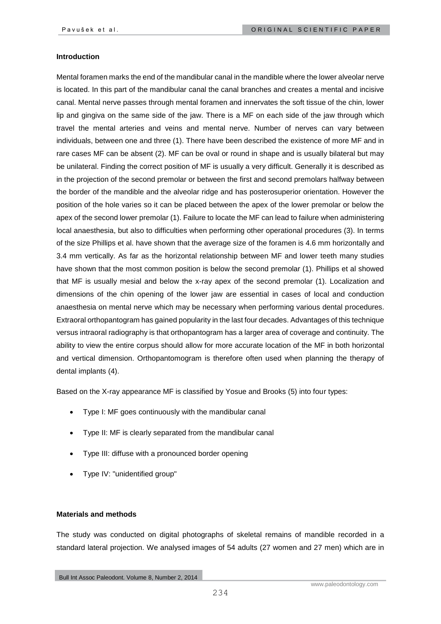#### **Introduction**

Mental foramen marks the end of the mandibular canal in the mandible where the lower alveolar nerve is located. In this part of the mandibular canal the canal branches and creates a mental and incisive canal. Mental nerve passes through mental foramen and innervates the soft tissue of the chin, lower lip and gingiva on the same side of the jaw. There is a MF on each side of the jaw through which travel the mental arteries and veins and mental nerve. Number of nerves can vary between individuals, between one and three (1). There have been described the existence of more MF and in rare cases MF can be absent (2). MF can be oval or round in shape and is usually bilateral but may be unilateral. Finding the correct position of MF is usually a very difficult. Generally it is described as in the projection of the second premolar or between the first and second premolars halfway between the border of the mandible and the alveolar ridge and has posterosuperior orientation. However the position of the hole varies so it can be placed between the apex of the lower premolar or below the apex of the second lower premolar (1). Failure to locate the MF can lead to failure when administering local anaesthesia, but also to difficulties when performing other operational procedures (3). In terms of the size Phillips et al. have shown that the average size of the foramen is 4.6 mm horizontally and 3.4 mm vertically. As far as the horizontal relationship between MF and lower teeth many studies have shown that the most common position is below the second premolar (1). Phillips et al showed that MF is usually mesial and below the x-ray apex of the second premolar (1). Localization and dimensions of the chin opening of the lower jaw are essential in cases of local and conduction anaesthesia on mental nerve which may be necessary when performing various dental procedures. Extraoral orthopantogram has gained popularity in the last four decades. Advantages of this technique versus intraoral radiography is that orthopantogram has a larger area of coverage and continuity. The ability to view the entire corpus should allow for more accurate location of the MF in both horizontal and vertical dimension. Orthopantomogram is therefore often used when planning the therapy of dental implants (4).

Based on the X-ray appearance MF is classified by Yosue and Brooks (5) into four types:

- Type I: MF goes continuously with the mandibular canal
- Type II: MF is clearly separated from the mandibular canal
- Type III: diffuse with a pronounced border opening
- Type IV: "unidentified group"

#### **Materials and methods**

The study was conducted on digital photographs of skeletal remains of mandible recorded in a standard lateral projection. We analysed images of 54 adults (27 women and 27 men) which are in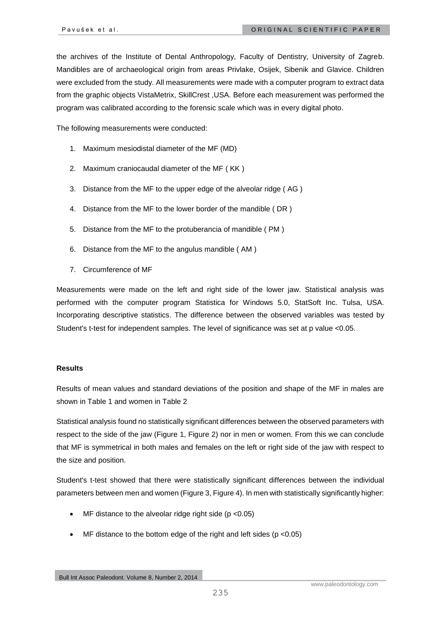the archives of the Institute of Dental Anthropology, Faculty of Dentistry, University of Zagreb. Mandibles are of archaeological origin from areas Privlake, Osijek, Sibenik and Glavice. Children were excluded from the study. All measurements were made with a computer program to extract data from the graphic objects VistaMetrix, SkillCrest ,USA. Before each measurement was performed the program was calibrated according to the forensic scale which was in every digital photo.

The following measurements were conducted:

- 1. Maximum mesiodistal diameter of the MF (MD)
- 2. Maximum craniocaudal diameter of the MF ( KK )
- 3. Distance from the MF to the upper edge of the alveolar ridge ( AG )
- 4. Distance from the MF to the lower border of the mandible ( DR )
- 5. Distance from the MF to the protuberancia of mandible ( PM )
- 6. Distance from the MF to the angulus mandible ( AM )
- 7. Circumference of MF

Measurements were made on the left and right side of the lower jaw. Statistical analysis was performed with the computer program Statistica for Windows 5.0, StatSoft Inc. Tulsa, USA. Incorporating descriptive statistics. The difference between the observed variables was tested by Student's t-test for independent samples. The level of significance was set at p value <0.05.

### **Results**

Results of mean values and standard deviations of the position and shape of the MF in males are shown in Table 1 and women in Table 2

Statistical analysis found no statistically significant differences between the observed parameters with respect to the side of the jaw (Figure 1, Figure 2) nor in men or women. From this we can conclude that MF is symmetrical in both males and females on the left or right side of the jaw with respect to the size and position.

Student's t-test showed that there were statistically significant differences between the individual parameters between men and women (Figure 3, Figure 4). In men with statistically significantly higher:

- MF distance to the alveolar ridge right side ( $p$  <0.05)
- MF distance to the bottom edge of the right and left sides ( $p$  <0.05)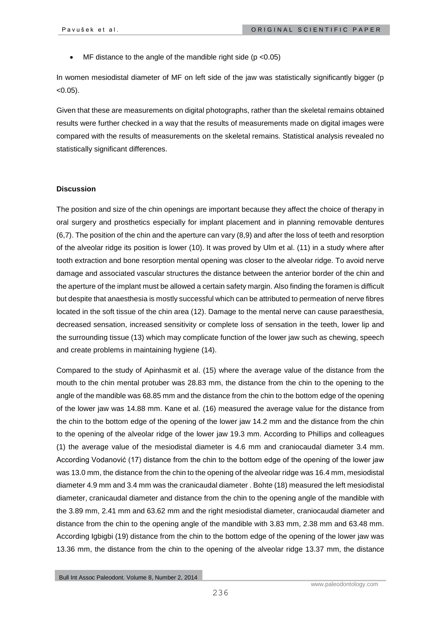MF distance to the angle of the mandible right side (p <0.05)

In women mesiodistal diameter of MF on left side of the jaw was statistically significantly bigger (p  $< 0.05$ ).

Given that these are measurements on digital photographs, rather than the skeletal remains obtained results were further checked in a way that the results of measurements made on digital images were compared with the results of measurements on the skeletal remains. Statistical analysis revealed no statistically significant differences.

#### **Discussion**

The position and size of the chin openings are important because they affect the choice of therapy in oral surgery and prosthetics especially for implant placement and in planning removable dentures (6,7). The position of the chin and the aperture can vary (8,9) and after the loss of teeth and resorption of the alveolar ridge its position is lower (10). It was proved by Ulm et al. (11) in a study where after tooth extraction and bone resorption mental opening was closer to the alveolar ridge. To avoid nerve damage and associated vascular structures the distance between the anterior border of the chin and the aperture of the implant must be allowed a certain safety margin. Also finding the foramen is difficult but despite that anaesthesia is mostly successful which can be attributed to permeation of nerve fibres located in the soft tissue of the chin area (12). Damage to the mental nerve can cause paraesthesia, decreased sensation, increased sensitivity or complete loss of sensation in the teeth, lower lip and the surrounding tissue (13) which may complicate function of the lower jaw such as chewing, speech and create problems in maintaining hygiene (14).

Compared to the study of Apinhasmit et al. (15) where the average value of the distance from the mouth to the chin mental protuber was 28.83 mm, the distance from the chin to the opening to the angle of the mandible was 68.85 mm and the distance from the chin to the bottom edge of the opening of the lower jaw was 14.88 mm. Kane et al. (16) measured the average value for the distance from the chin to the bottom edge of the opening of the lower jaw 14.2 mm and the distance from the chin to the opening of the alveolar ridge of the lower jaw 19.3 mm. According to Phillips and colleagues (1) the average value of the mesiodistal diameter is 4.6 mm and craniocaudal diameter 3.4 mm. According Vodanović (17) distance from the chin to the bottom edge of the opening of the lower jaw was 13.0 mm, the distance from the chin to the opening of the alveolar ridge was 16.4 mm, mesiodistal diameter 4.9 mm and 3.4 mm was the cranicaudal diameter . Bohte (18) measured the left mesiodistal diameter, cranicaudal diameter and distance from the chin to the opening angle of the mandible with the 3.89 mm, 2.41 mm and 63.62 mm and the right mesiodistal diameter, craniocaudal diameter and distance from the chin to the opening angle of the mandible with 3.83 mm, 2.38 mm and 63.48 mm. According Igbigbi (19) distance from the chin to the bottom edge of the opening of the lower jaw was 13.36 mm, the distance from the chin to the opening of the alveolar ridge 13.37 mm, the distance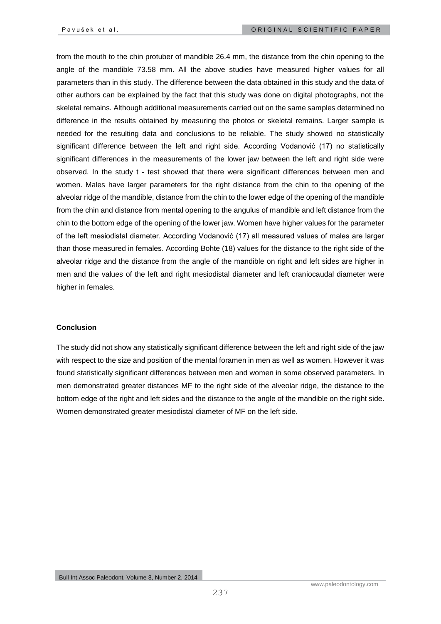from the mouth to the chin protuber of mandible 26.4 mm, the distance from the chin opening to the angle of the mandible 73.58 mm. All the above studies have measured higher values for all parameters than in this study. The difference between the data obtained in this study and the data of other authors can be explained by the fact that this study was done on digital photographs, not the skeletal remains. Although additional measurements carried out on the same samples determined no difference in the results obtained by measuring the photos or skeletal remains. Larger sample is needed for the resulting data and conclusions to be reliable. The study showed no statistically significant difference between the left and right side. According Vodanović (17) no statistically significant differences in the measurements of the lower jaw between the left and right side were observed. In the study t - test showed that there were significant differences between men and women. Males have larger parameters for the right distance from the chin to the opening of the alveolar ridge of the mandible, distance from the chin to the lower edge of the opening of the mandible from the chin and distance from mental opening to the angulus of mandible and left distance from the chin to the bottom edge of the opening of the lower jaw. Women have higher values for the parameter of the left mesiodistal diameter. According Vodanović (17) all measured values of males are larger than those measured in females. According Bohte (18) values for the distance to the right side of the alveolar ridge and the distance from the angle of the mandible on right and left sides are higher in men and the values of the left and right mesiodistal diameter and left craniocaudal diameter were higher in females.

#### **Conclusion**

The study did not show any statistically significant difference between the left and right side of the jaw with respect to the size and position of the mental foramen in men as well as women. However it was found statistically significant differences between men and women in some observed parameters. In men demonstrated greater distances MF to the right side of the alveolar ridge, the distance to the bottom edge of the right and left sides and the distance to the angle of the mandible on the right side. Women demonstrated greater mesiodistal diameter of MF on the left side.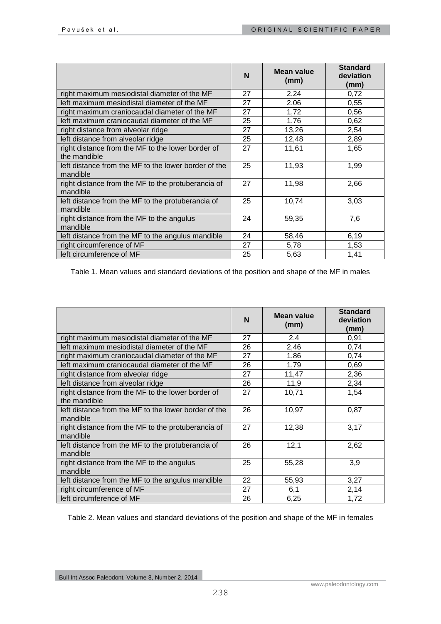|                                                                   | N  | Mean value<br>(mm) | <b>Standard</b><br>deviation<br>(mm) |
|-------------------------------------------------------------------|----|--------------------|--------------------------------------|
| right maximum mesiodistal diameter of the MF                      | 27 | 2,24               | 0,72                                 |
| left maximum mesiodistal diameter of the MF                       | 27 | 2.06               | 0,55                                 |
| right maximum craniocaudal diameter of the MF                     | 27 | 1,72               | 0,56                                 |
| left maximum craniocaudal diameter of the MF                      | 25 | 1,76               | 0,62                                 |
| right distance from alveolar ridge                                | 27 | 13,26              | 2,54                                 |
| left distance from alveolar ridge                                 | 25 | 12,48              | 2,89                                 |
| right distance from the MF to the lower border of<br>the mandible | 27 | 11,61              | 1,65                                 |
| left distance from the MF to the lower border of the<br>mandible  | 25 | 11,93              | 1,99                                 |
| right distance from the MF to the protuberancia of<br>mandible    | 27 | 11,98              | 2,66                                 |
| left distance from the MF to the protuberancia of<br>mandible     | 25 | 10,74              | 3,03                                 |
| right distance from the MF to the angulus<br>mandible             | 24 | 59,35              | 7,6                                  |
| left distance from the MF to the angulus mandible                 | 24 | 58,46              | 6,19                                 |
| right circumference of MF                                         | 27 | 5,78               | 1,53                                 |
| left circumference of MF                                          | 25 | 5,63               | 1,41                                 |

Table 1. Mean values and standard deviations of the position and shape of the MF in males

|                                                                   | N  | Mean value<br>(mm) | <b>Standard</b><br>deviation<br>(mm) |
|-------------------------------------------------------------------|----|--------------------|--------------------------------------|
| right maximum mesiodistal diameter of the MF                      | 27 | 2,4                | 0,91                                 |
| left maximum mesiodistal diameter of the MF                       | 26 | 2,46               | 0,74                                 |
| right maximum craniocaudal diameter of the MF                     | 27 | 1,86               | 0,74                                 |
| left maximum craniocaudal diameter of the MF                      | 26 | 1,79               | 0,69                                 |
| right distance from alveolar ridge                                | 27 | 11,47              | 2,36                                 |
| left distance from alveolar ridge                                 | 26 | 11,9               | 2,34                                 |
| right distance from the MF to the lower border of<br>the mandible | 27 | 10,71              | 1,54                                 |
| left distance from the MF to the lower border of the<br>mandible  | 26 | 10,97              | 0.87                                 |
| right distance from the MF to the protuberancia of<br>mandible    | 27 | 12,38              | 3,17                                 |
| left distance from the MF to the protuberancia of<br>mandible     | 26 | 12,1               | 2,62                                 |
| right distance from the MF to the angulus<br>mandible             | 25 | 55,28              | 3,9                                  |
| left distance from the MF to the angulus mandible                 | 22 | 55,93              | 3,27                                 |
| right circumference of MF                                         | 27 | 6,1                | 2,14                                 |
| left circumference of MF                                          | 26 | 6,25               | 1,72                                 |

Table 2. Mean values and standard deviations of the position and shape of the MF in females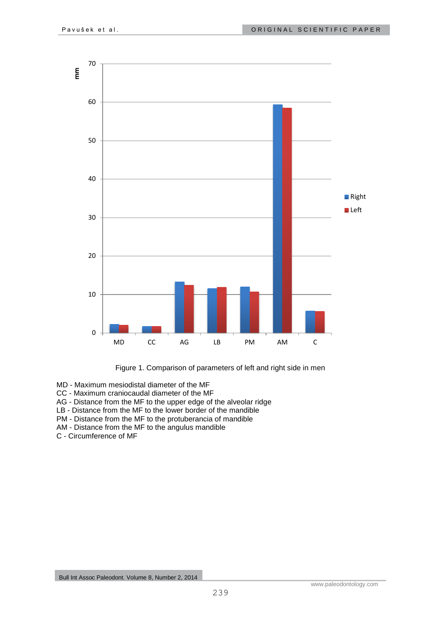

Figure 1. Comparison of parameters of left and right side in men

MD - Maximum mesiodistal diameter of the MF

- CC Maximum craniocaudal diameter of the MF
- AG Distance from the MF to the upper edge of the alveolar ridge
- LB Distance from the MF to the lower border of the mandible
- PM Distance from the MF to the protuberancia of mandible
- AM Distance from the MF to the angulus mandible
- C Circumference of MF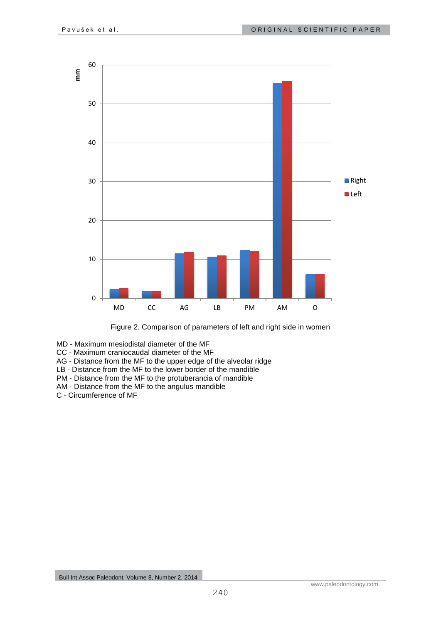

Figure 2. Comparison of parameters of left and right side in women

- MD Maximum mesiodistal diameter of the MF
- CC Maximum craniocaudal diameter of the MF
- AG Distance from the MF to the upper edge of the alveolar ridge
- LB Distance from the MF to the lower border of the mandible
- PM Distance from the MF to the protuberancia of mandible
- AM Distance from the MF to the angulus mandible
- C Circumference of MF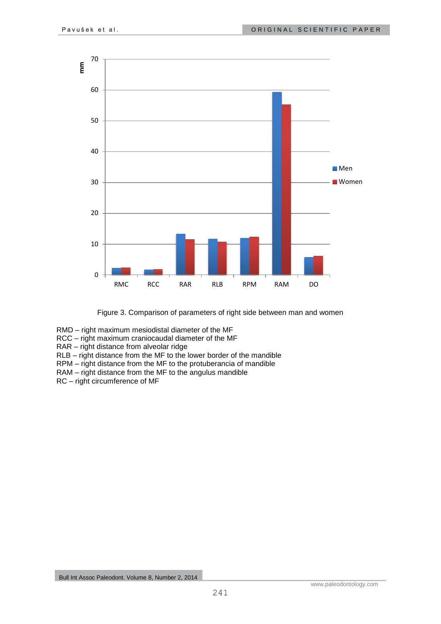



RMD – right maximum mesiodistal diameter of the MF

RCC – right maximum craniocaudal diameter of the MF

RAR – right distance from alveolar ridge

RLB – right distance from the MF to the lower border of the mandible

RPM – right distance from the MF to the protuberancia of mandible

RAM – right distance from the MF to the angulus mandible

RC – right circumference of MF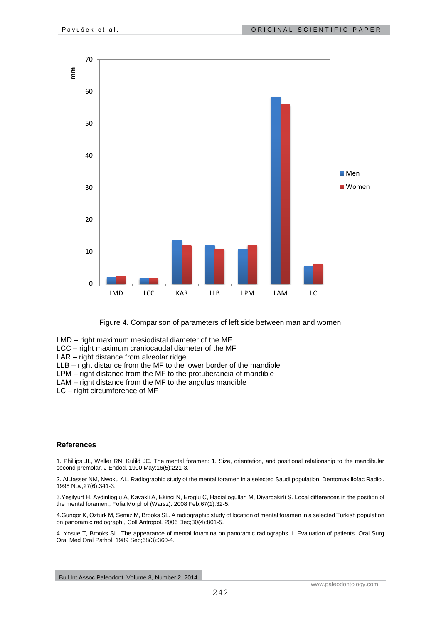

Figure 4. Comparison of parameters of left side between man and women

- LMD right maximum mesiodistal diameter of the MF
- LCC right maximum craniocaudal diameter of the MF
- LAR right distance from alveolar ridge
- LLB right distance from the MF to the lower border of the mandible
- LPM right distance from the MF to the protuberancia of mandible
- LAM right distance from the MF to the angulus mandible
- LC right circumference of MF

#### **References**

1. Phillips JL, Weller RN, Kulild JC. The mental foramen: 1. Size, orientation, and positional relationship to the mandibular second premolar. J Endod. 1990 May;16(5):221-3.

2. Al Jasser NM, Nwoku AL. Radiographic study of the mental foramen in a selected Saudi population. Dentomaxillofac Radiol. 1998 Nov;27(6):341-3.

3.Yeşilyurt H, Aydinlioglu A, Kavakli A, Ekinci N, Eroglu C, Hacialiogullari M, Diyarbakirli S. Local differences in the position of the mental foramen., Folia Morphol (Warsz). 2008 Feb;67(1):32-5.

4.Gungor K, Ozturk M, Semiz M, Brooks SL. A radiographic study of location of mental foramen in a selected Turkish population on panoramic radiograph., Coll Antropol. 2006 Dec;30(4):801-5.

4. Yosue T, Brooks SL. The appearance of mental foramina on panoramic radiographs. I. Evaluation of patients. Oral Surg Oral Med Oral Pathol. 1989 Sep;68(3):360-4.